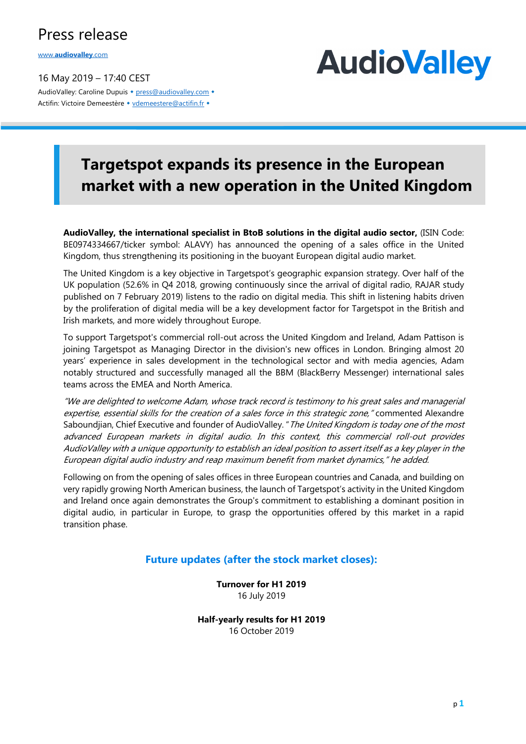### Press release

www.**audiovalley**.com

16 May 2019 – 17:40 CEST AudioValley: Caroline Dupuis • press@audiovalley.com • Actifin: Victoire Demeestère • vdemeestere@actifin.fr •

## **AudioValley**

## **Targetspot expands its presence in the European market with a new operation in the United Kingdom**

**AudioValley, the international specialist in BtoB solutions in the digital audio sector,** (ISIN Code: BE0974334667/ticker symbol: ALAVY) has announced the opening of a sales office in the United Kingdom, thus strengthening its positioning in the buoyant European digital audio market.

The United Kingdom is a key objective in Targetspot's geographic expansion strategy. Over half of the UK population (52.6% in Q4 2018, growing continuously since the arrival of digital radio, RAJAR study published on 7 February 2019) listens to the radio on digital media. This shift in listening habits driven by the proliferation of digital media will be a key development factor for Targetspot in the British and Irish markets, and more widely throughout Europe.

To support Targetspot's commercial roll-out across the United Kingdom and Ireland, Adam Pattison is joining Targetspot as Managing Director in the division's new offices in London. Bringing almost 20 years' experience in sales development in the technological sector and with media agencies, Adam notably structured and successfully managed all the BBM (BlackBerry Messenger) international sales teams across the EMEA and North America.

"We are delighted to welcome Adam, whose track record is testimony to his great sales and managerial expertise, essential skills for the creation of a sales force in this strategic zone," commented Alexandre Saboundjian, Chief Executive and founder of AudioValley. "The United Kingdom is today one of the most advanced European markets in digital audio. In this context, this commercial roll-out provides AudioValley with a unique opportunity to establish an ideal position to assert itself as a key player in the European digital audio industry and reap maximum benefit from market dynamics," he added.

Following on from the opening of sales offices in three European countries and Canada, and building on very rapidly growing North American business, the launch of Targetspot's activity in the United Kingdom and Ireland once again demonstrates the Group's commitment to establishing a dominant position in digital audio, in particular in Europe, to grasp the opportunities offered by this market in a rapid transition phase.

#### **Future updates (after the stock market closes):**

**Turnover for H1 2019** 16 July 2019

**Half-yearly results for H1 2019** 16 October 2019